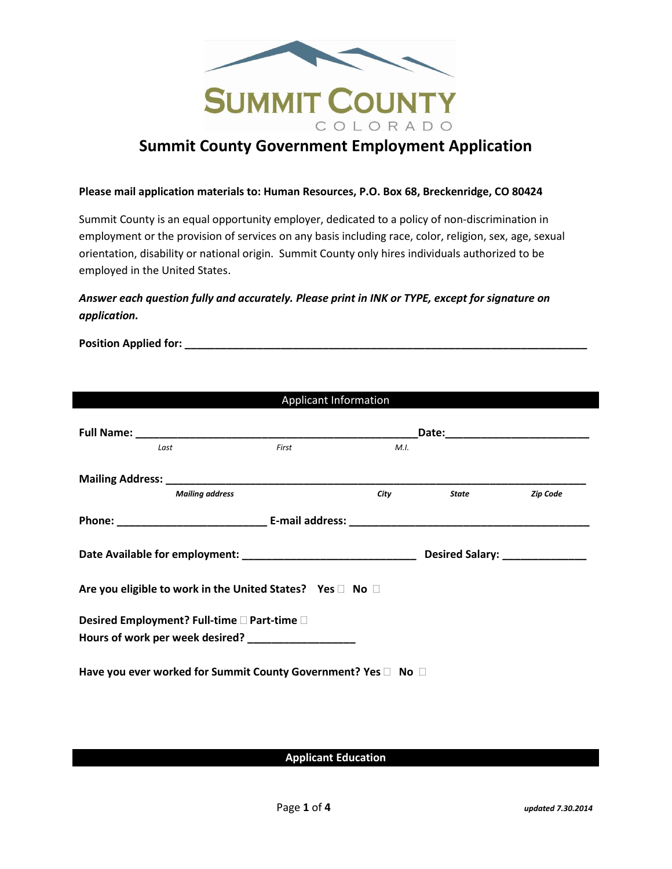

# **Summit County Government Employment Application**

#### **Please mail application materials to: Human Resources, P.O. Box 68, Breckenridge, CO 80424**

Summit County is an equal opportunity employer, dedicated to a policy of non-discrimination in employment or the provision of services on any basis including race, color, religion, sex, age, sexual orientation, disability or national origin. Summit County only hires individuals authorized to be employed in the United States.

## *Answer each question fully and accurately. Please print in INK or TYPE, except for signature on application.*

**Position Applied for: \_\_\_\_\_\_\_\_\_\_\_\_\_\_\_\_\_\_\_\_\_\_\_\_\_\_\_\_\_\_\_\_\_\_\_\_\_\_\_\_\_\_\_\_\_\_\_\_\_\_\_\_\_\_\_\_\_\_\_\_\_\_\_\_\_\_\_**

| Applicant Information                                     |                                                               |       |      |                                |                 |  |  |  |
|-----------------------------------------------------------|---------------------------------------------------------------|-------|------|--------------------------------|-----------------|--|--|--|
|                                                           |                                                               |       |      |                                |                 |  |  |  |
| Last                                                      |                                                               | First | M.I. |                                |                 |  |  |  |
|                                                           |                                                               |       |      |                                |                 |  |  |  |
|                                                           | <b>Mailing address</b>                                        |       | City | State                          | <b>Zip Code</b> |  |  |  |
|                                                           |                                                               |       |      |                                |                 |  |  |  |
|                                                           |                                                               |       |      | Desired Salary: ______________ |                 |  |  |  |
| Are you eligible to work in the United States? Yes □ No □ |                                                               |       |      |                                |                 |  |  |  |
|                                                           | Desired Employment? Full-time □ Part-time □                   |       |      |                                |                 |  |  |  |
|                                                           | Hours of work per week desired? __________________            |       |      |                                |                 |  |  |  |
|                                                           | Have you ever worked for Summit County Government? Yes □ No □ |       |      |                                |                 |  |  |  |

**Applicant Education**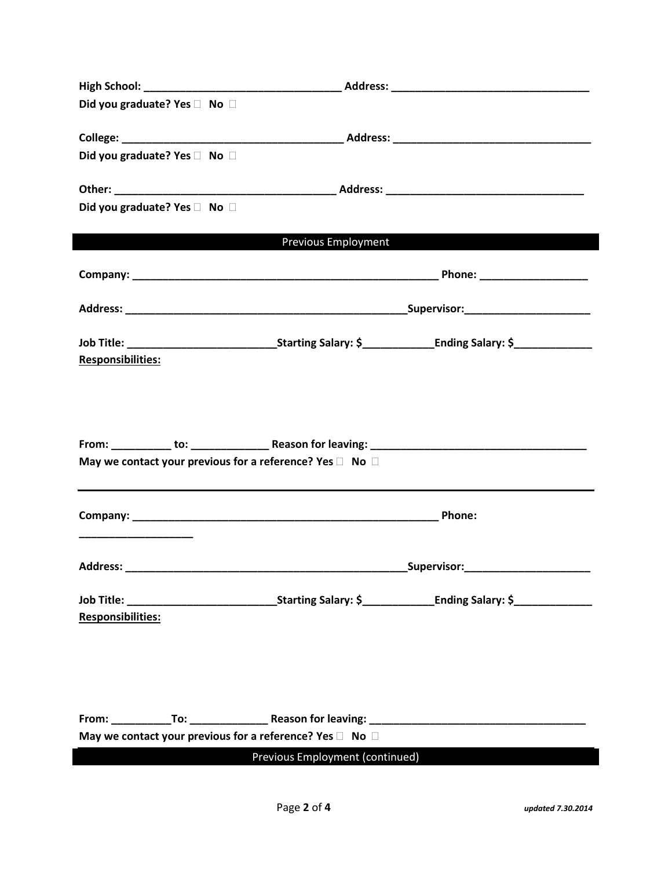| Did you graduate? Yes □ No □                                             |  |                                                                                                                  |  |  |  |
|--------------------------------------------------------------------------|--|------------------------------------------------------------------------------------------------------------------|--|--|--|
|                                                                          |  |                                                                                                                  |  |  |  |
| Did you graduate? Yes □ No □                                             |  |                                                                                                                  |  |  |  |
|                                                                          |  |                                                                                                                  |  |  |  |
| Did you graduate? Yes □ No □                                             |  |                                                                                                                  |  |  |  |
|                                                                          |  |                                                                                                                  |  |  |  |
|                                                                          |  | <b>Previous Employment CONTEX CONTENTS CONTINUES</b>                                                             |  |  |  |
|                                                                          |  |                                                                                                                  |  |  |  |
|                                                                          |  |                                                                                                                  |  |  |  |
|                                                                          |  |                                                                                                                  |  |  |  |
| <b>Responsibilities:</b>                                                 |  |                                                                                                                  |  |  |  |
|                                                                          |  |                                                                                                                  |  |  |  |
|                                                                          |  |                                                                                                                  |  |  |  |
|                                                                          |  |                                                                                                                  |  |  |  |
| May we contact your previous for a reference? Yes $\square$ No $\square$ |  |                                                                                                                  |  |  |  |
|                                                                          |  |                                                                                                                  |  |  |  |
|                                                                          |  | Phone:                                                                                                           |  |  |  |
|                                                                          |  |                                                                                                                  |  |  |  |
|                                                                          |  |                                                                                                                  |  |  |  |
|                                                                          |  | _Supervisor:__________________                                                                                   |  |  |  |
|                                                                          |  | Job Title: ___________________________________Starting Salary: \$_________________Ending Salary: \$_____________ |  |  |  |
| <b>Responsibilities:</b>                                                 |  |                                                                                                                  |  |  |  |
|                                                                          |  |                                                                                                                  |  |  |  |
|                                                                          |  |                                                                                                                  |  |  |  |
|                                                                          |  |                                                                                                                  |  |  |  |
|                                                                          |  |                                                                                                                  |  |  |  |
| May we contact your previous for a reference? Yes $\square$ No $\square$ |  |                                                                                                                  |  |  |  |
| Previous Employment (continued)                                          |  |                                                                                                                  |  |  |  |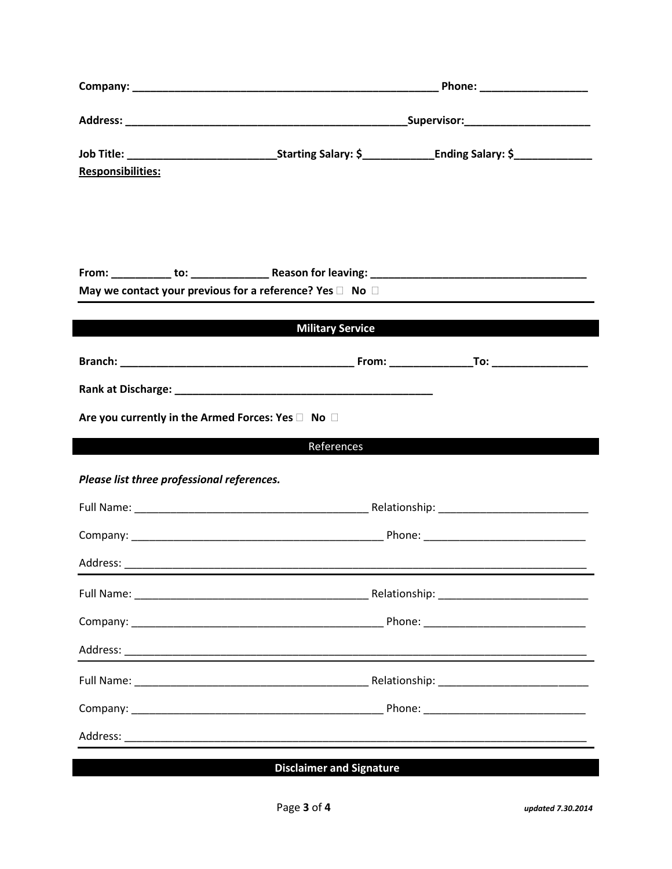|                                                   | Phone: _____________________                                             |  |  |  |
|---------------------------------------------------|--------------------------------------------------------------------------|--|--|--|
|                                                   | _Supervisor:_____________________________                                |  |  |  |
| <b>Responsibilities:</b>                          |                                                                          |  |  |  |
|                                                   |                                                                          |  |  |  |
|                                                   |                                                                          |  |  |  |
|                                                   | May we contact your previous for a reference? Yes $\square$ No $\square$ |  |  |  |
|                                                   | <b>Military Service</b>                                                  |  |  |  |
|                                                   |                                                                          |  |  |  |
|                                                   |                                                                          |  |  |  |
|                                                   |                                                                          |  |  |  |
| Are you currently in the Armed Forces: Yes D No D |                                                                          |  |  |  |
|                                                   | References                                                               |  |  |  |
| Please list three professional references.        |                                                                          |  |  |  |
|                                                   |                                                                          |  |  |  |
|                                                   |                                                                          |  |  |  |
|                                                   |                                                                          |  |  |  |
|                                                   |                                                                          |  |  |  |
|                                                   |                                                                          |  |  |  |
|                                                   |                                                                          |  |  |  |
|                                                   |                                                                          |  |  |  |
|                                                   |                                                                          |  |  |  |
|                                                   |                                                                          |  |  |  |
|                                                   | $\mathbf{r}$                                                             |  |  |  |

### **Disclaimer and Signature**